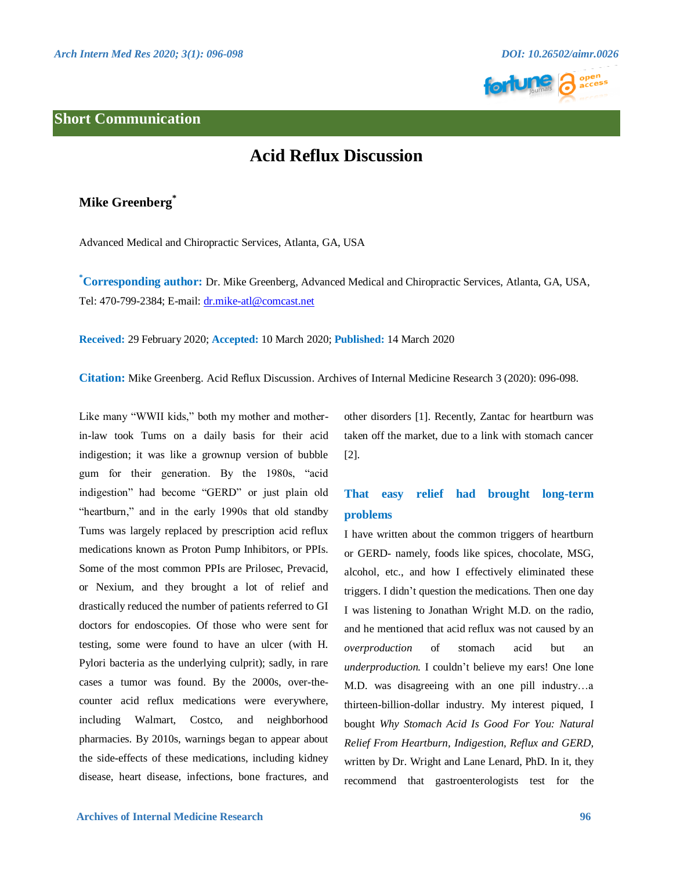

### **Short Communication**

# **Acid Reflux Discussion**

## **Mike Greenberg\***

Advanced Medical and Chiropractic Services, Atlanta, GA, USA

**\*Corresponding author:** Dr. Mike Greenberg, Advanced Medical and Chiropractic Services, Atlanta, GA, USA, Tel: 470-799-2384; E-mail: [dr.mike-atl@comcast.net](mailto:dr.mike-atl@comcast.net)

**Received:** 29 February 2020; **Accepted:** 10 March 2020; **Published:** 14 March 2020

**Citation:** Mike Greenberg. Acid Reflux Discussion. Archives of Internal Medicine Research 3 (2020): 096-098.

Like many "WWII kids," both my mother and motherin-law took Tums on a daily basis for their acid indigestion; it was like a grownup version of bubble gum for their generation. By the 1980s, "acid indigestion" had become "GERD" or just plain old "heartburn," and in the early 1990s that old standby Tums was largely replaced by prescription acid reflux medications known as Proton Pump Inhibitors, or PPIs. Some of the most common PPIs are Prilosec, Prevacid, or Nexium, and they brought a lot of relief and drastically reduced the number of patients referred to GI doctors for endoscopies. Of those who were sent for testing, some were found to have an ulcer (with H. Pylori bacteria as the underlying culprit); sadly, in rare cases a tumor was found. By the 2000s, over-thecounter acid reflux medications were everywhere, including Walmart, Costco, and neighborhood pharmacies. By 2010s, warnings began to appear about the side-effects of these medications, including kidney disease, heart disease, infections, bone fractures, and other disorders [1]. Recently, Zantac for heartburn was taken off the market, due to a link with stomach cancer [2].

## **That easy relief had brought long-term problems**

I have written about the common triggers of heartburn or GERD- namely, foods like spices, chocolate, MSG, alcohol, etc., and how I effectively eliminated these triggers. I didn't question the medications. Then one day I was listening to Jonathan Wright M.D. on the radio, and he mentioned that acid reflux was not caused by an *overproduction* of stomach acid but an *underproduction.* I couldn't believe my ears! One lone M.D. was disagreeing with an one pill industry…a thirteen-billion-dollar industry. My interest piqued, I bought *Why Stomach Acid Is Good For You: Natural Relief From Heartburn, Indigestion, Reflux and GERD,* written by Dr. Wright and Lane Lenard, PhD. In it, they recommend that gastroenterologists test for the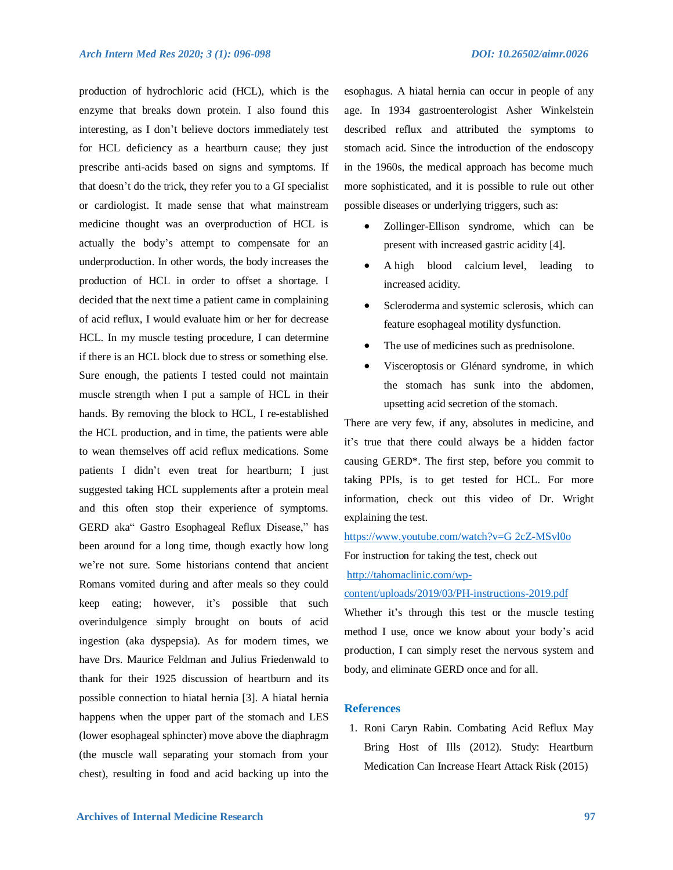production of hydrochloric acid (HCL), which is the enzyme that breaks down protein. I also found this interesting, as I don't believe doctors immediately test for HCL deficiency as a heartburn cause; they just prescribe anti-acids based on signs and symptoms. If that doesn't do the trick, they refer you to a GI specialist or cardiologist. It made sense that what mainstream medicine thought was an overproduction of HCL is actually the body's attempt to compensate for an underproduction. In other words, the body increases the production of HCL in order to offset a shortage. I decided that the next time a patient came in complaining of acid reflux, I would evaluate him or her for decrease HCL. In my muscle testing procedure, I can determine if there is an HCL block due to stress or something else. Sure enough, the patients I tested could not maintain muscle strength when I put a sample of HCL in their hands. By removing the block to HCL, I re-established the HCL production, and in time, the patients were able to wean themselves off acid reflux medications. Some patients I didn't even treat for heartburn; I just suggested taking HCL supplements after a protein meal and this often stop their experience of symptoms. GERD aka" Gastro Esophageal Reflux Disease," has been around for a long time, though exactly how long we're not sure. Some historians contend that ancient Romans vomited during and after meals so they could keep eating; however, it's possible that such overindulgence simply brought on bouts of acid ingestion (aka dyspepsia). As for modern times, we have Drs. Maurice Feldman and Julius Friedenwald to thank for their 1925 discussion of heartburn and its possible connection to hiatal hernia [3]. A hiatal hernia happens when the upper part of the stomach and LES (lower esophageal sphincter) move above the diaphragm (the muscle wall separating your stomach from your chest), resulting in food and acid backing up into the esophagus. A hiatal hernia can occur in people of any age. In 1934 gastroenterologist Asher Winkelstein described reflux and attributed the symptoms to stomach acid. Since the introduction of the endoscopy in the 1960s, the medical approach has become much more sophisticated, and it is possible to rule out other possible diseases or underlying triggers, such as:

- Zollinger-Ellison syndrome, which can be present with increased gastric acidity [4].
- A high blood calcium level, leading to increased acidity.
- Scleroderma and systemic sclerosis, which can feature esophageal motility dysfunction.
- The use of medicines such as prednisolone.
- Visceroptosis or Glénard syndrome, in which the stomach has sunk into the abdomen, upsetting acid secretion of the stomach.

There are very few, if any, absolutes in medicine, and it's true that there could always be a hidden factor causing GERD\*. The first step, before you commit to taking PPIs, is to get tested for HCL. For more information, check out this video of Dr. Wright explaining the test.

[https://www.youtube.com/watch?v=G](https://www.youtube.com/watch?v=G%25202cZ-MSvl0o) 2cZ-MSvl0o For instruction for taking the test, check out [http://tahomaclinic.com/wp-](http://tahomaclinic.com/wp-content/uploads/2019/03/PH-instructions-2019.pdf)

#### [content/uploads/2019/03/PH-instructions-2019.pdf](http://tahomaclinic.com/wp-content/uploads/2019/03/PH-instructions-2019.pdf)

Whether it's through this test or the muscle testing method I use, once we know about your body's acid production, I can simply reset the nervous system and body, and eliminate GERD once and for all.

### **References**

1. Roni Caryn Rabin. Combating Acid Reflux May Bring Host of Ills (2012). Study: Heartburn Medication Can Increase Heart Attack Risk (2015)